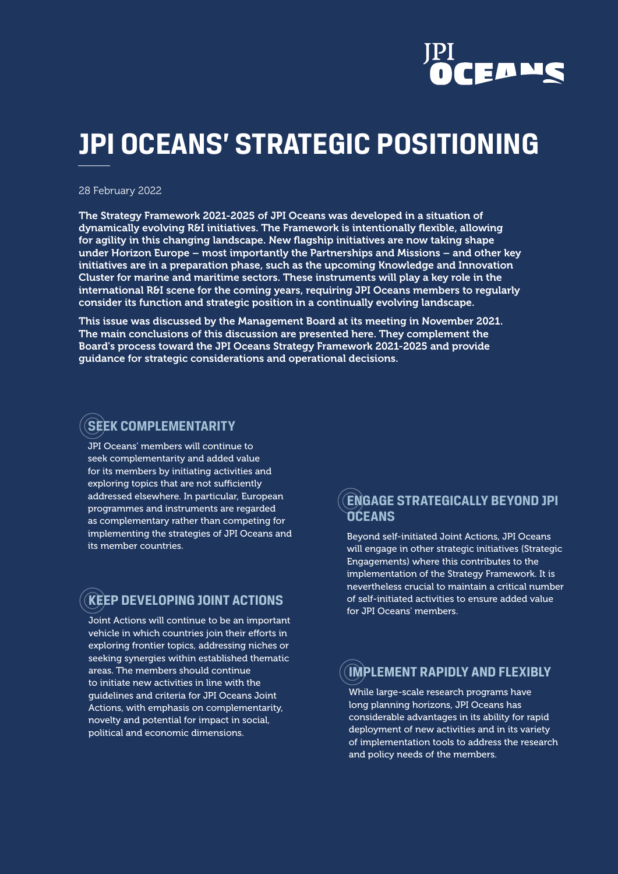

# **JPI OCEANS' STRATEGIC POSITIONING**

#### 28 February 2022

The Strategy Framework 2021-2025 of JPI Oceans was developed in a situation of dynamically evolving R&I initiatives. The Framework is intentionally flexible, allowing for agility in this changing landscape. New flagship initiatives are now taking shape under Horizon Europe – most importantly the Partnerships and Missions – and other key initiatives are in a preparation phase, such as the upcoming Knowledge and Innovation Cluster for marine and maritime sectors. These instruments will play a key role in the international R&I scene for the coming years, requiring JPI Oceans members to regularly consider its function and strategic position in a continually evolving landscape.

This issue was discussed by the Management Board at its meeting in November 2021. The main conclusions of this discussion are presented here. They complement the Board's process toward the JPI Oceans Strategy Framework 2021-2025 and provide guidance for strategic considerations and operational decisions.

### **SEEK COMPLEMENTARITY**

JPI Oceans' members will continue to seek complementarity and added value for its members by initiating activities and exploring topics that are not sufficiently addressed elsewhere. In particular, European programmes and instruments are regarded as complementary rather than competing for implementing the strategies of JPI Oceans and its member countries.

### **KEEP DEVELOPING JOINT ACTIONS**

Joint Actions will continue to be an important vehicle in which countries join their efforts in exploring frontier topics, addressing niches or seeking synergies within established thematic areas. The members should continue to initiate new activities in line with the guidelines and criteria for JPI Oceans Joint Actions, with emphasis on complementarity, novelty and potential for impact in social, political and economic dimensions.

#### **ENGAGE STRATEGICALLY BEYOND JPI OCEANS**

Beyond self-initiated Joint Actions, JPI Oceans will engage in other strategic initiatives (Strategic Engagements) where this contributes to the implementation of the Strategy Framework. It is nevertheless crucial to maintain a critical number of self-initiated activities to ensure added value for JPI Oceans' members.

### **IMPLEMENT RAPIDLY AND FLEXIBLY**

While large-scale research programs have long planning horizons, JPI Oceans has considerable advantages in its ability for rapid deployment of new activities and in its variety of implementation tools to address the research and policy needs of the members.